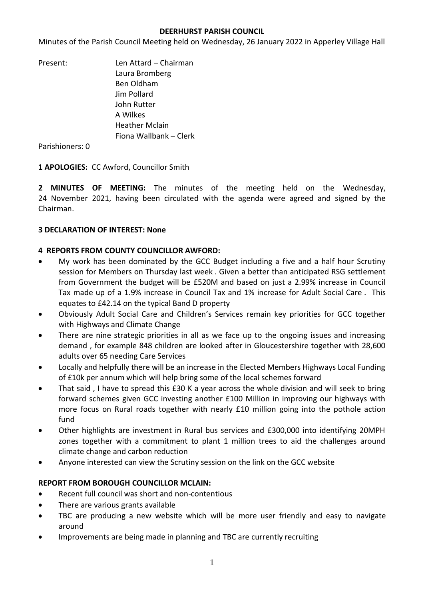#### **DEERHURST PARISH COUNCIL**

Minutes of the Parish Council Meeting held on Wednesday, 26 January 2022 in Apperley Village Hall

Present: Len Attard – Chairman Laura Bromberg Ben Oldham Jim Pollard John Rutter A Wilkes Heather Mclain Fiona Wallbank – Clerk

Parishioners: 0

**1 APOLOGIES:** CC Awford, Councillor Smith

**2 MINUTES OF MEETING:** The minutes of the meeting held on the Wednesday, 24 November 2021, having been circulated with the agenda were agreed and signed by the Chairman.

## **3 DECLARATION OF INTEREST: None**

#### **4 REPORTS FROM COUNTY COUNCILLOR AWFORD:**

- My work has been dominated by the GCC Budget including a five and a half hour Scrutiny session for Members on Thursday last week . Given a better than anticipated RSG settlement from Government the budget will be £520M and based on just a 2.99% increase in Council Tax made up of a 1.9% increase in Council Tax and 1% increase for Adult Social Care . This equates to £42.14 on the typical Band D property
- Obviously Adult Social Care and Children's Services remain key priorities for GCC together with Highways and Climate Change
- There are nine strategic priorities in all as we face up to the ongoing issues and increasing demand , for example 848 children are looked after in Gloucestershire together with 28,600 adults over 65 needing Care Services
- Locally and helpfully there will be an increase in the Elected Members Highways Local Funding of £10k per annum which will help bring some of the local schemes forward
- That said , I have to spread this £30 K a year across the whole division and will seek to bring forward schemes given GCC investing another £100 Million in improving our highways with more focus on Rural roads together with nearly £10 million going into the pothole action fund
- Other highlights are investment in Rural bus services and £300,000 into identifying 20MPH zones together with a commitment to plant 1 million trees to aid the challenges around climate change and carbon reduction
- Anyone interested can view the Scrutiny session on the link on the GCC website

## **REPORT FROM BOROUGH COUNCILLOR MCLAIN:**

- Recent full council was short and non-contentious
- There are various grants available
- TBC are producing a new website which will be more user friendly and easy to navigate around
- Improvements are being made in planning and TBC are currently recruiting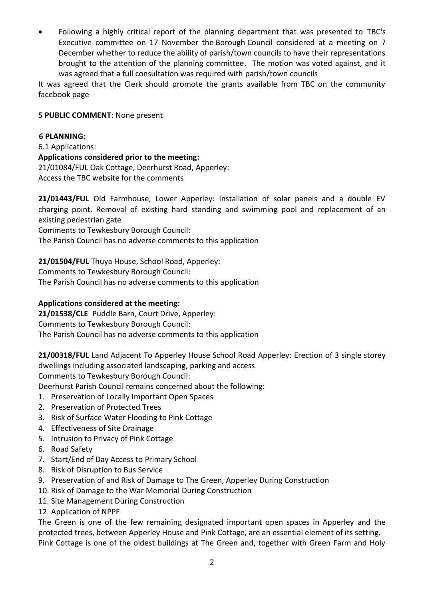• Following a highly critical report of the planning department that was presented to TBC's Executive committee on 17 November the Borough Council considered at a meeting on 7 December whether to reduce the ability of parish/town councils to have their representations brought to the attention of the planning committee. The motion was voted against, and it was agreed that a full consultation was required with parish/town councils

It was agreed that the Clerk should promote the grants available from TBC on the community facebook page

## **5 PUBLIC COMMENT:** None present

#### **6 PLANNING:**

6.1 Applications: **Applications considered prior to the meeting:** 21/01084/FUL Oak Cottage, Deerhurst Road, Apperley: Access the TBC website for the comments

**21/01443/FUL** Old Farmhouse, Lower Apperley: Installation of solar panels and a double EV charging point. Removal of existing hard standing and swimming pool and replacement of an existing pedestrian gate

Comments to Tewkesbury Borough Council:

The Parish Council has no adverse comments to this application

**21/01504/FUL** Thuya House, School Road, Apperley:

Comments to Tewkesbury Borough Council:

The Parish Council has no adverse comments to this application

## **Applications considered at the meeting:**

**21/01538/CLE** Puddle Barn, Court Drive, Apperley: Comments to Tewkesbury Borough Council: The Parish Council has no adverse comments to this application

**21/00318/FUL** Land Adjacent To Apperley House School Road Apperley: [Erection of 3 single storey](https://publicaccess.tewkesbury.gov.uk/online-applications/applicationDetails.do?activeTab=summary&keyVal=QPNAVZQD0IA00&prevPage=inTray)  [dwellings including associated landscaping, parking and access](https://publicaccess.tewkesbury.gov.uk/online-applications/applicationDetails.do?activeTab=summary&keyVal=QPNAVZQD0IA00&prevPage=inTray) Comments to Tewkesbury Borough Council:

Deerhurst Parish Council remains concerned about the following:

- 1. Preservation of Locally Important Open Spaces
- 2. Preservation of Protected Trees
- 3. Risk of Surface Water Flooding to Pink Cottage
- 4. Effectiveness of Site Drainage
- 5. Intrusion to Privacy of Pink Cottage
- 6. Road Safety
- 7. Start/End of Day Access to Primary School
- 8. Risk of Disruption to Bus Service
- 9. Preservation of and Risk of Damage to The Green, Apperley During Construction
- 10. Risk of Damage to the War Memorial During Construction
- 11. Site Management During Construction
- 12. Application of NPPF

The Green is one of the few remaining designated important open spaces in Apperley and the protected trees, between Apperley House and Pink Cottage, are an essential element of its setting. Pink Cottage is one of the oldest buildings at The Green and, together with Green Farm and Holy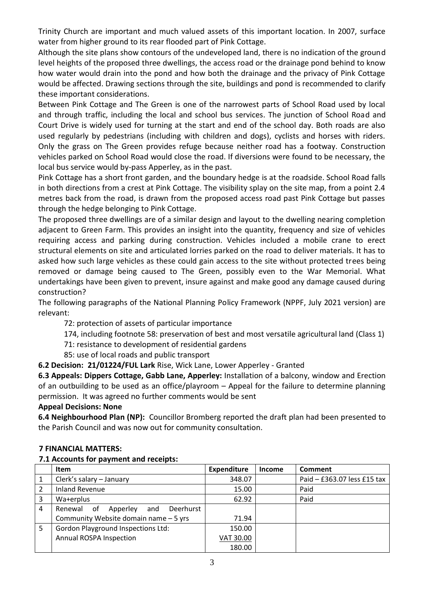Trinity Church are important and much valued assets of this important location. In 2007, surface water from higher ground to its rear flooded part of Pink Cottage.

Although the site plans show contours of the undeveloped land, there is no indication of the ground level heights of the proposed three dwellings, the access road or the drainage pond behind to know how water would drain into the pond and how both the drainage and the privacy of Pink Cottage would be affected. Drawing sections through the site, buildings and pond is recommended to clarify these important considerations.

Between Pink Cottage and The Green is one of the narrowest parts of School Road used by local and through traffic, including the local and school bus services. The junction of School Road and Court Drive is widely used for turning at the start and end of the school day. Both roads are also used regularly by pedestrians (including with children and dogs), cyclists and horses with riders. Only the grass on The Green provides refuge because neither road has a footway. Construction vehicles parked on School Road would close the road. If diversions were found to be necessary, the local bus service would by-pass Apperley, as in the past.

Pink Cottage has a short front garden, and the boundary hedge is at the roadside. School Road falls in both directions from a crest at Pink Cottage. The visibility splay on the site map, from a point 2.4 metres back from the road, is drawn from the proposed access road past Pink Cottage but passes through the hedge belonging to Pink Cottage.

The proposed three dwellings are of a similar design and layout to the dwelling nearing completion adjacent to Green Farm. This provides an insight into the quantity, frequency and size of vehicles requiring access and parking during construction. Vehicles included a mobile crane to erect structural elements on site and articulated lorries parked on the road to deliver materials. It has to asked how such large vehicles as these could gain access to the site without protected trees being removed or damage being caused to The Green, possibly even to the War Memorial. What undertakings have been given to prevent, insure against and make good any damage caused during construction?

The following paragraphs of the National Planning Policy Framework (NPPF, July 2021 version) are relevant:

72: protection of assets of particular importance

174, including footnote 58: preservation of best and most versatile agricultural land (Class 1)

71: resistance to development of residential gardens

85: use of local roads and public transport

**6.2 Decision: 21/01224/FUL Lark** Rise, Wick Lane, Lower Apperley - Granted

**6.3 Appeals: Dippers Cottage, Gabb Lane, Apperley:** Installation of a balcony, window and Erection of an outbuilding to be used as an office/playroom – Appeal for the failure to determine planning permission. It was agreed no further comments would be sent

## **Appeal Decisions: None**

**6.4 Neighbourhood Plan (NP):** Councillor Bromberg reported the draft plan had been presented to the Parish Council and was now out for community consultation.

## **7 FINANCIAL MATTERS:**

## **7.1 Accounts for payment and receipts:**

|   | Item                                          | <b>Expenditure</b> | <b>Income</b> | Comment                     |
|---|-----------------------------------------------|--------------------|---------------|-----------------------------|
|   | Clerk's salary - January                      | 348.07             |               | Paid - £363.07 less £15 tax |
|   | <b>Inland Revenue</b>                         | 15.00              |               | Paid                        |
| 3 | Wa+erplus                                     | 62.92              |               | Paid                        |
| 4 | Deerhurst<br>Renewal<br>0f<br>Apperley<br>and |                    |               |                             |
|   | Community Website domain name - 5 yrs         | 71.94              |               |                             |
| 5 | <b>Gordon Playground Inspections Ltd:</b>     | 150.00             |               |                             |
|   | <b>Annual ROSPA Inspection</b>                | VAT 30.00          |               |                             |
|   |                                               | 180.00             |               |                             |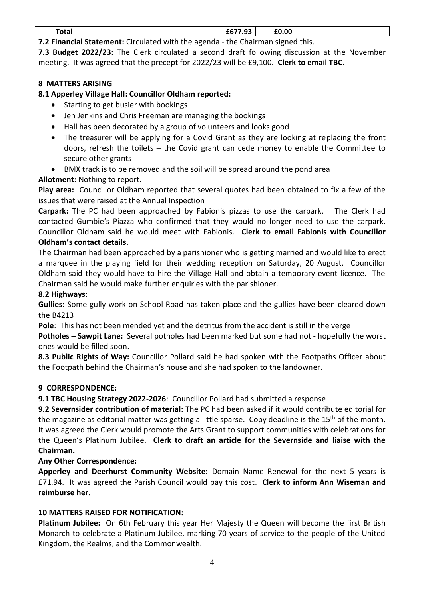| <b>TOLAI</b> | 0.07700<br>u.<br>.<br>------- | £0.00 |  |
|--------------|-------------------------------|-------|--|
|              |                               |       |  |

**7.2 Financial Statement:** Circulated with the agenda - the Chairman signed this.

**7.3 Budget 2022/23:** The Clerk circulated a second draft following discussion at the November meeting. It was agreed that the precept for 2022/23 will be £9,100. **Clerk to email TBC.**

## **8 MATTERS ARISING**

# **8.1 Apperley Village Hall: Councillor Oldham reported:**

- Starting to get busier with bookings
- Jen Jenkins and Chris Freeman are managing the bookings
- Hall has been decorated by a group of volunteers and looks good
- The treasurer will be applying for a Covid Grant as they are looking at replacing the front doors, refresh the toilets – the Covid grant can cede money to enable the Committee to secure other grants
- BMX track is to be removed and the soil will be spread around the pond area

# **Allotment:** Nothing to report.

**Play area:** Councillor Oldham reported that several quotes had been obtained to fix a few of the issues that were raised at the Annual Inspection

**Carpark:** The PC had been approached by Fabionis pizzas to use the carpark. The Clerk had contacted Gumbie's Piazza who confirmed that they would no longer need to use the carpark. Councillor Oldham said he would meet with Fabionis. **Clerk to email Fabionis with Councillor Oldham's contact details.**

The Chairman had been approached by a parishioner who is getting married and would like to erect a marquee in the playing field for their wedding reception on Saturday, 20 August. Councillor Oldham said they would have to hire the Village Hall and obtain a temporary event licence. The Chairman said he would make further enquiries with the parishioner.

## **8.2 Highways:**

**Gullies:** Some gully work on School Road has taken place and the gullies have been cleared down the B4213

**Pole**: This has not been mended yet and the detritus from the accident is still in the verge

**Potholes – Sawpit Lane:** Several potholes had been marked but some had not - hopefully the worst ones would be filled soon.

**8.3 Public Rights of Way:** Councillor Pollard said he had spoken with the Footpaths Officer about the Footpath behind the Chairman's house and she had spoken to the landowner.

## **9 CORRESPONDENCE:**

**9.1 TBC Housing Strategy 2022-2026**: Councillor Pollard had submitted a response

**9.2 Severnsider contribution of material:** The PC had been asked if it would contribute editorial for the magazine as editorial matter was getting a little sparse. Copy deadline is the 15<sup>th</sup> of the month. It was agreed the Clerk would promote the Arts Grant to support communities with celebrations for the Queen's Platinum Jubilee. **Clerk to draft an article for the Severnside and liaise with the Chairman.**

## **Any Other Correspondence:**

**Apperley and Deerhurst Community Website:** Domain Name Renewal for the next 5 years is £71.94. It was agreed the Parish Council would pay this cost. **Clerk to inform Ann Wiseman and reimburse her.**

## **10 MATTERS RAISED FOR NOTIFICATION:**

**Platinum Jubilee:** On 6th February this year Her Majesty the Queen will become the first British Monarch to celebrate a Platinum Jubilee, marking 70 years of service to the people of the United Kingdom, the Realms, and the Commonwealth.